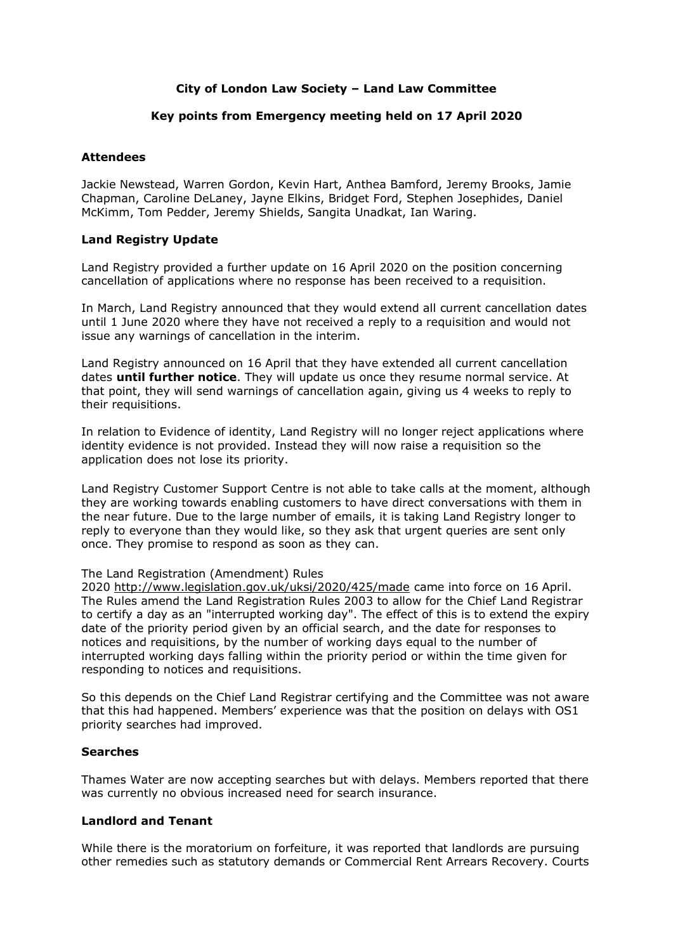# **City of London Law Society – Land Law Committee**

# **Key points from Emergency meeting held on 17 April 2020**

### **Attendees**

Jackie Newstead, Warren Gordon, Kevin Hart, Anthea Bamford, Jeremy Brooks, Jamie Chapman, Caroline DeLaney, Jayne Elkins, Bridget Ford, Stephen Josephides, Daniel McKimm, Tom Pedder, Jeremy Shields, Sangita Unadkat, Ian Waring.

### **Land Registry Update**

Land Registry provided a further update on 16 April 2020 on the position concerning cancellation of applications where no response has been received to a requisition.

In March, Land Registry announced that they would extend all current cancellation dates until 1 June 2020 where they have not received a reply to a requisition and would not issue any warnings of cancellation in the interim.

Land Registry announced on 16 April that they have extended all current cancellation dates **until further notice**. They will update us once they resume normal service. At that point, they will send warnings of cancellation again, giving us 4 weeks to reply to their requisitions.

In relation to Evidence of identity, Land Registry will no longer reject applications where identity evidence is not provided. Instead they will now raise a requisition so the application does not lose its priority.

Land Registry Customer Support Centre is not able to take calls at the moment, although they are working towards enabling customers to have direct conversations with them in the near future. Due to the large number of emails, it is taking Land Registry longer to reply to everyone than they would like, so they ask that urgent queries are sent only once. They promise to respond as soon as they can.

### The Land Registration (Amendment) Rules

2020 <http://www.legislation.gov.uk/uksi/2020/425/made> came into force on 16 April. The Rules amend the Land Registration Rules 2003 to allow for the Chief Land Registrar to certify a day as an "interrupted working day". The effect of this is to extend the expiry date of the priority period given by an official search, and the date for responses to notices and requisitions, by the number of working days equal to the number of interrupted working days falling within the priority period or within the time given for responding to notices and requisitions.

So this depends on the Chief Land Registrar certifying and the Committee was not aware that this had happened. Members' experience was that the position on delays with OS1 priority searches had improved.

### **Searches**

Thames Water are now accepting searches but with delays. Members reported that there was currently no obvious increased need for search insurance.

### **Landlord and Tenant**

While there is the moratorium on forfeiture, it was reported that landlords are pursuing other remedies such as statutory demands or Commercial Rent Arrears Recovery. Courts